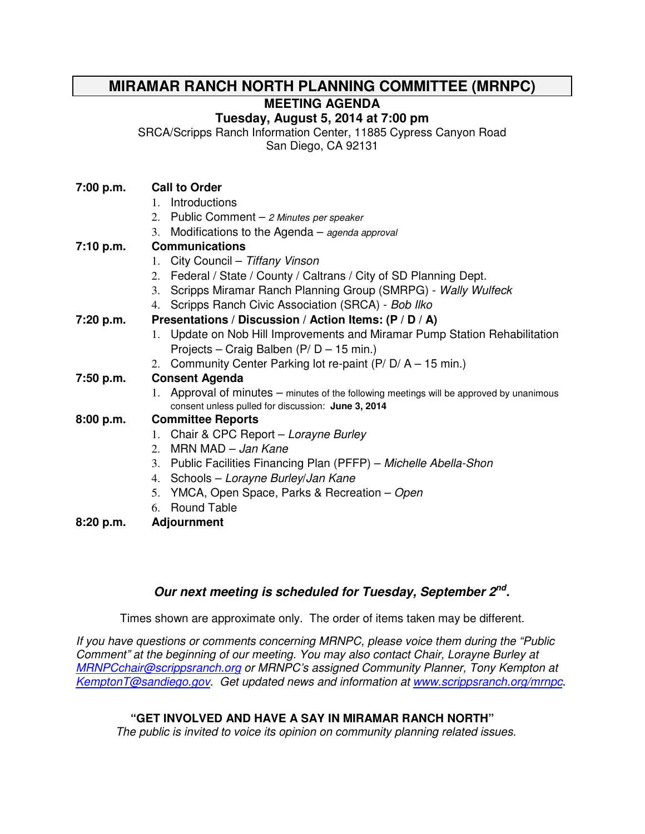# **MIRAMAR RANCH NORTH PLANNING COMMITTEE (MRNPC)**

**MEETING AGENDA** 

## **Tuesday, August 5, 2014 at 7:00 pm**

SRCA/Scripps Ranch Information Center, 11885 Cypress Canyon Road

San Diego, CA 92131

## **7:00 p.m. Call to Order**

- 1. Introductions
- 2. Public Comment 2 Minutes per speaker
- 3. Modifications to the Agenda agenda approval

## **7:10 p.m. Communications**

- 1. City Council Tiffany Vinson
- 2. Federal / State / County / Caltrans / City of SD Planning Dept.
- 3. Scripps Miramar Ranch Planning Group (SMRPG) Wally Wulfeck
- 4. Scripps Ranch Civic Association (SRCA) Bob Ilko

## **7:20 p.m. Presentations / Discussion / Action Items: (P / D / A)**

- 1. Update on Nob Hill Improvements and Miramar Pump Station Rehabilitation Projects – Craig Balben (P/ D – 15 min.)
- 2. Community Center Parking lot re-paint  $(P/D/A 15$  min.)

## **7:50 p.m. Consent Agenda**

1. Approval of minutes – minutes of the following meetings will be approved by unanimous consent unless pulled for discussion: **June 3, 2014**

## **8:00 p.m. Committee Reports**

- 1. Chair & CPC Report Lorayne Burley
- 2. MRN MAD Jan Kane
- 3. Public Facilities Financing Plan (PFFP) Michelle Abella-Shon
- 4. Schools Lorayne Burley/Jan Kane
- 5. YMCA, Open Space, Parks & Recreation Open
- 6. Round Table
- **8:20 p.m. Adjournment**

## **Our next meeting is scheduled for Tuesday, September 2nd .**

Times shown are approximate only. The order of items taken may be different.

If you have questions or comments concerning MRNPC, please voice them during the "Public Comment" at the beginning of our meeting. You may also contact Chair, Lorayne Burley at MRNPCchair@scrippsranch.org or MRNPC's assigned Community Planner, Tony Kempton at KemptonT@sandiego.gov. Get updated news and information at www.scrippsranch.org/mrnpc.

## **"GET INVOLVED AND HAVE A SAY IN MIRAMAR RANCH NORTH"**

The public is invited to voice its opinion on community planning related issues.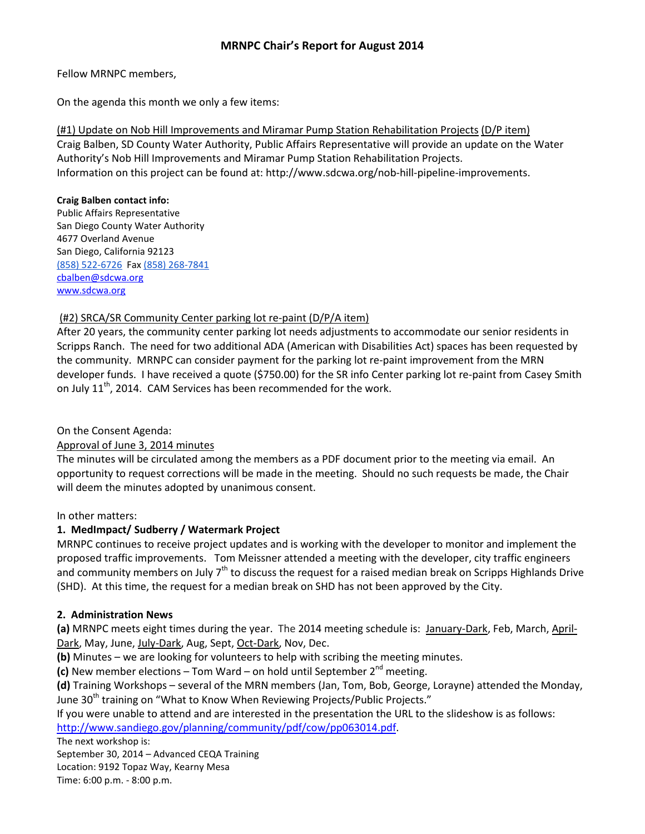## MRNPC Chair's Report for August 2014

#### Fellow MRNPC members,

On the agenda this month we only a few items:

(#1) Update on Nob Hill Improvements and Miramar Pump Station Rehabilitation Projects (D/P item) Craig Balben, SD County Water Authority, Public Affairs Representative will provide an update on the Water Authority's Nob Hill Improvements and Miramar Pump Station Rehabilitation Projects. Information on this project can be found at: http://www.sdcwa.org/nob-hill-pipeline-improvements.

#### Craig Balben contact info:

Public Affairs Representative San Diego County Water Authority 4677 Overland Avenue San Diego, California 92123 (858) 522-6726 Fax (858) 268-7841 cbalben@sdcwa.org www.sdcwa.org

### (#2) SRCA/SR Community Center parking lot re-paint (D/P/A item)

After 20 years, the community center parking lot needs adjustments to accommodate our senior residents in Scripps Ranch. The need for two additional ADA (American with Disabilities Act) spaces has been requested by the community. MRNPC can consider payment for the parking lot re-paint improvement from the MRN developer funds. I have received a quote (\$750.00) for the SR info Center parking lot re-paint from Casey Smith on July  $11^{th}$ , 2014. CAM Services has been recommended for the work.

On the Consent Agenda:

### Approval of June 3, 2014 minutes

The minutes will be circulated among the members as a PDF document prior to the meeting via email. An opportunity to request corrections will be made in the meeting. Should no such requests be made, the Chair will deem the minutes adopted by unanimous consent.

In other matters:

### 1. MedImpact/ Sudberry / Watermark Project

MRNPC continues to receive project updates and is working with the developer to monitor and implement the proposed traffic improvements. Tom Meissner attended a meeting with the developer, city traffic engineers and community members on July 7<sup>th</sup> to discuss the request for a raised median break on Scripps Highlands Drive (SHD). At this time, the request for a median break on SHD has not been approved by the City.

### 2. Administration News

(a) MRNPC meets eight times during the year. The 2014 meeting schedule is: January-Dark, Feb, March, April-Dark, May, June, July-Dark, Aug, Sept, Oct-Dark, Nov, Dec.

(b) Minutes – we are looking for volunteers to help with scribing the meeting minutes.

(c) New member elections – Tom Ward – on hold until September  $2^{nd}$  meeting.

(d) Training Workshops – several of the MRN members (Jan, Tom, Bob, George, Lorayne) attended the Monday, June 30<sup>th</sup> training on "What to Know When Reviewing Projects/Public Projects."

If you were unable to attend and are interested in the presentation the URL to the slideshow is as follows: http://www.sandiego.gov/planning/community/pdf/cow/pp063014.pdf.

The next workshop is:

September 30, 2014 – Advanced CEQA Training Location: 9192 Topaz Way, Kearny Mesa Time: 6:00 p.m. - 8:00 p.m.